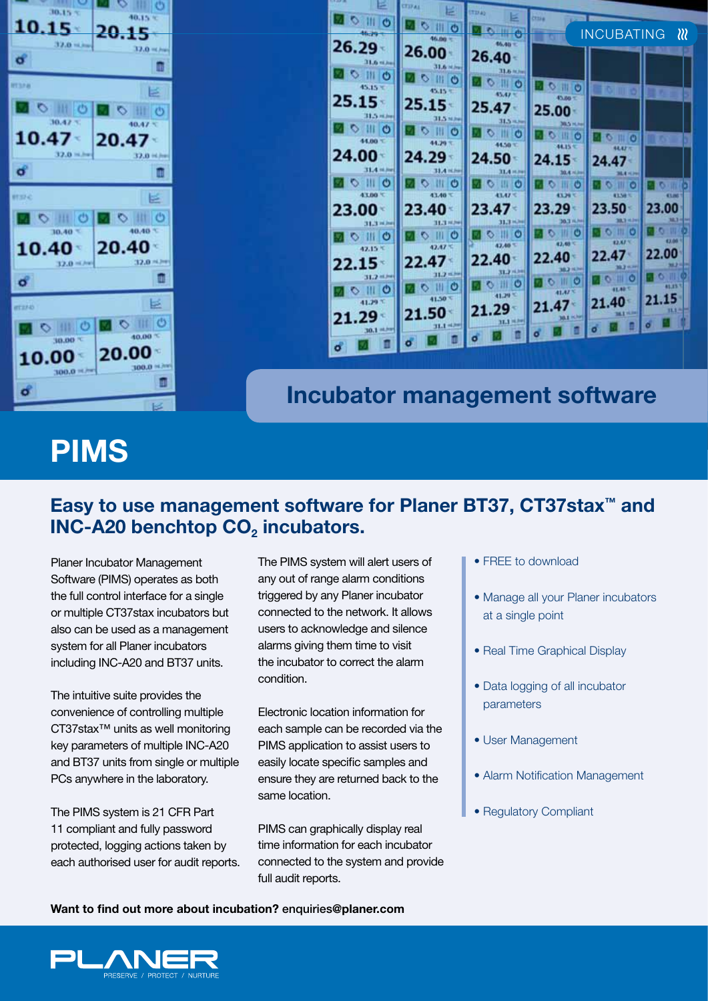Planer Incubator Management Software (PIMS) operates as both the full control interface for a single or multiple CT37stax incubators but also can be used as a management system for all Planer incubators including INC-A20 and BT37 units.

The intuitive suite provides the convenience of controlling multiple CT37stax™ units as well monitoring key parameters of multiple INC-A20 and BT37 units from single or multiple PCs anywhere in the laboratory.

The PIMS system is 21 CFR Part 11 compliant and fully password protected, logging actions taken by each authorised user for audit reports.

RESERVE / PROTECT / NURTUR

The PIMS system will alert users of any out of range alarm conditions triggered by any Planer incubator connected to the network. It allows users to acknowledge and silence alarms giving them time to visit the incubator to correct the alarm condition.

Electronic location information for each sample can be recorded via the PIMS application to assist users to easily locate specific samples and ensure they are returned back to the same location.

PIMS can graphically display real time information for each incubator connected to the system and provide full audit reports.

- $\bullet$  FREE to download
- Manage all your Planer incubators at a single point
- Real Time Graphical Display
- Data logging of all incubator parameters
- User Management
- Alarm Notification Management
- Regulatory Compliant

**Want to find out more about incubation?** enquiries**@planer.com**



 $30.15 -$ 

**IH O** 

30.47

0 11 0

10.15

 $\circ$ 

10.47

 $\sigma$ 

main

ಕ

itsik

 $40.15<sup>2</sup>$ 

n

m

넏

 $O$  11 0

巨

O III O

20.47

 $40.47 -$ 

20.15



**Incubator management software**